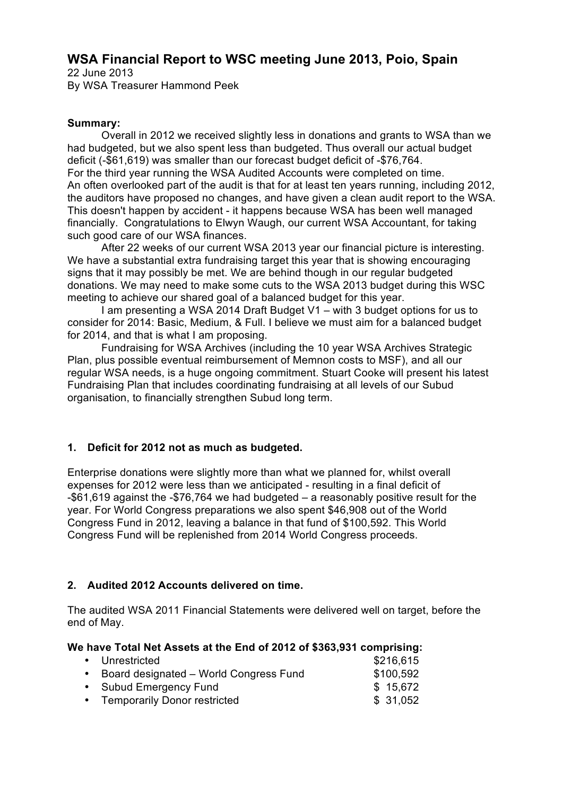# **WSA Financial Report to WSC meeting June 2013, Poio, Spain**

22 June 2013 By WSA Treasurer Hammond Peek

## **Summary:**

Overall in 2012 we received slightly less in donations and grants to WSA than we had budgeted, but we also spent less than budgeted. Thus overall our actual budget deficit (-\$61,619) was smaller than our forecast budget deficit of -\$76,764. For the third year running the WSA Audited Accounts were completed on time. An often overlooked part of the audit is that for at least ten years running, including 2012, the auditors have proposed no changes, and have given a clean audit report to the WSA. This doesn't happen by accident - it happens because WSA has been well managed financially. Congratulations to Elwyn Waugh, our current WSA Accountant, for taking such good care of our WSA finances.

After 22 weeks of our current WSA 2013 year our financial picture is interesting. We have a substantial extra fundraising target this year that is showing encouraging signs that it may possibly be met. We are behind though in our regular budgeted donations. We may need to make some cuts to the WSA 2013 budget during this WSC meeting to achieve our shared goal of a balanced budget for this year.

I am presenting a WSA 2014 Draft Budget V1 – with 3 budget options for us to consider for 2014: Basic, Medium, & Full. I believe we must aim for a balanced budget for 2014, and that is what I am proposing.

Fundraising for WSA Archives (including the 10 year WSA Archives Strategic Plan, plus possible eventual reimbursement of Memnon costs to MSF), and all our regular WSA needs, is a huge ongoing commitment. Stuart Cooke will present his latest Fundraising Plan that includes coordinating fundraising at all levels of our Subud organisation, to financially strengthen Subud long term.

## **1. Deficit for 2012 not as much as budgeted.**

Enterprise donations were slightly more than what we planned for, whilst overall expenses for 2012 were less than we anticipated - resulting in a final deficit of -\$61,619 against the -\$76,764 we had budgeted – a reasonably positive result for the year. For World Congress preparations we also spent \$46,908 out of the World Congress Fund in 2012, leaving a balance in that fund of \$100,592. This World Congress Fund will be replenished from 2014 World Congress proceeds.

## **2. Audited 2012 Accounts delivered on time.**

The audited WSA 2011 Financial Statements were delivered well on target, before the end of May.

## **We have Total Net Assets at the End of 2012 of \$363,931 comprising:**

| • Unrestricted                           | \$216,615 |
|------------------------------------------|-----------|
| • Board designated – World Congress Fund | \$100,592 |
| • Subud Emergency Fund                   | \$15,672  |
| • Temporarily Donor restricted           | \$31,052  |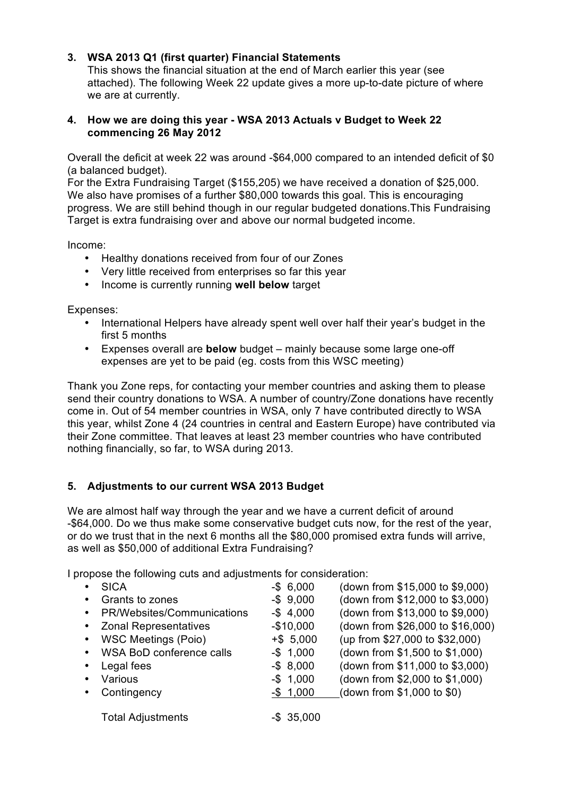### **3. WSA 2013 Q1 (first quarter) Financial Statements**

This shows the financial situation at the end of March earlier this year (see attached). The following Week 22 update gives a more up-to-date picture of where we are at currently.

#### **4. How we are doing this year - WSA 2013 Actuals v Budget to Week 22 commencing 26 May 2012**

Overall the deficit at week 22 was around -\$64,000 compared to an intended deficit of \$0 (a balanced budget).

For the Extra Fundraising Target (\$155,205) we have received a donation of \$25,000. We also have promises of a further \$80,000 towards this goal. This is encouraging progress. We are still behind though in our regular budgeted donations.This Fundraising Target is extra fundraising over and above our normal budgeted income.

Income:

- Healthy donations received from four of our Zones
- Very little received from enterprises so far this year
- Income is currently running **well below** target

Expenses:

- International Helpers have already spent well over half their year's budget in the first 5 months
- Expenses overall are **below** budget mainly because some large one-off expenses are yet to be paid (eg. costs from this WSC meeting)

Thank you Zone reps, for contacting your member countries and asking them to please send their country donations to WSA. A number of country/Zone donations have recently come in. Out of 54 member countries in WSA, only 7 have contributed directly to WSA this year, whilst Zone 4 (24 countries in central and Eastern Europe) have contributed via their Zone committee. That leaves at least 23 member countries who have contributed nothing financially, so far, to WSA during 2013.

## **5. Adjustments to our current WSA 2013 Budget**

We are almost half way through the year and we have a current deficit of around -\$64,000. Do we thus make some conservative budget cuts now, for the rest of the year, or do we trust that in the next 6 months all the \$80,000 promised extra funds will arrive, as well as \$50,000 of additional Extra Fundraising?

I propose the following cuts and adjustments for consideration:

| $\bullet$ | <b>SICA</b>                  | $-$ \$ 6,000  | (down from \$15,000 to \$9,000)  |
|-----------|------------------------------|---------------|----------------------------------|
| $\bullet$ | Grants to zones              | $-$ \$ 9,000  | (down from \$12,000 to \$3,000)  |
|           | • PR/Websites/Communications | $-$4,000$     | (down from \$13,000 to \$9,000)  |
|           | • Zonal Representatives      | $-$10,000$    | (down from \$26,000 to \$16,000) |
|           | • WSC Meetings (Poio)        | $+$ \$ 5,000  | (up from \$27,000 to \$32,000)   |
|           | • WSA BoD conference calls   | $-$ \$ 1,000  | (down from \$1,500 to \$1,000)   |
| $\bullet$ | Legal fees                   | $-$ \$ 8,000  | (down from \$11,000 to \$3,000)  |
| $\bullet$ | Various                      | $-$ \$ 1,000  | (down from \$2,000 to \$1,000)   |
| $\bullet$ | Contingency                  | $-$ \$ 1,000  | (down from \$1,000 to \$0)       |
|           | <b>Total Adjustments</b>     | $-$ \$ 35,000 |                                  |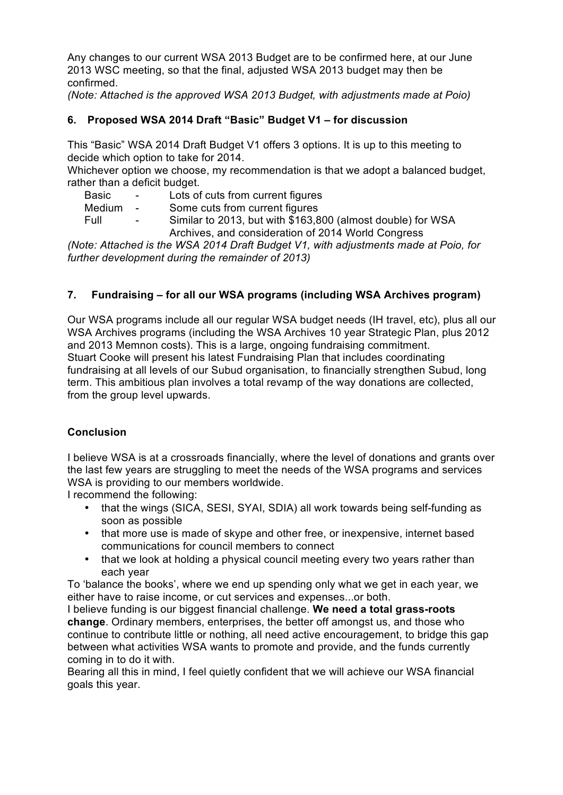Any changes to our current WSA 2013 Budget are to be confirmed here, at our June 2013 WSC meeting, so that the final, adjusted WSA 2013 budget may then be confirmed.

*(Note: Attached is the approved WSA 2013 Budget, with adjustments made at Poio)*

## **6. Proposed WSA 2014 Draft "Basic" Budget V1 – for discussion**

This "Basic" WSA 2014 Draft Budget V1 offers 3 options. It is up to this meeting to decide which option to take for 2014.

Whichever option we choose, my recommendation is that we adopt a balanced budget, rather than a deficit budget.

| Basic<br>Lots of cuts from current figures |  |
|--------------------------------------------|--|
|--------------------------------------------|--|

Medium - Some cuts from current figures

Full - Similar to 2013, but with \$163,800 (almost double) for WSA Archives, and consideration of 2014 World Congress

*(Note: Attached is the WSA 2014 Draft Budget V1, with adjustments made at Poio, for further development during the remainder of 2013)*

## **7. Fundraising – for all our WSA programs (including WSA Archives program)**

Our WSA programs include all our regular WSA budget needs (IH travel, etc), plus all our WSA Archives programs (including the WSA Archives 10 year Strategic Plan, plus 2012 and 2013 Memnon costs). This is a large, ongoing fundraising commitment. Stuart Cooke will present his latest Fundraising Plan that includes coordinating fundraising at all levels of our Subud organisation, to financially strengthen Subud, long term. This ambitious plan involves a total revamp of the way donations are collected, from the group level upwards.

## **Conclusion**

I believe WSA is at a crossroads financially, where the level of donations and grants over the last few years are struggling to meet the needs of the WSA programs and services WSA is providing to our members worldwide.

I recommend the following:

- that the wings (SICA, SESI, SYAI, SDIA) all work towards being self-funding as soon as possible
- that more use is made of skype and other free, or inexpensive, internet based communications for council members to connect
- that we look at holding a physical council meeting every two years rather than each year

To 'balance the books', where we end up spending only what we get in each year, we either have to raise income, or cut services and expenses...or both.

I believe funding is our biggest financial challenge. **We need a total grass-roots change**. Ordinary members, enterprises, the better off amongst us, and those who continue to contribute little or nothing, all need active encouragement, to bridge this gap between what activities WSA wants to promote and provide, and the funds currently coming in to do it with.

Bearing all this in mind, I feel quietly confident that we will achieve our WSA financial goals this year.